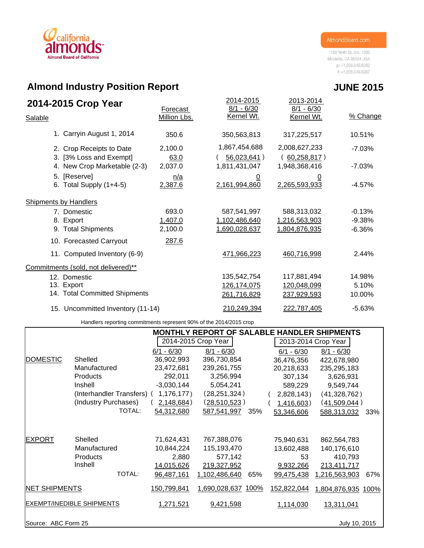# california **Almond Board of California**

1150 Ninth St. Ste. 1500 Modesto, CA 95354 USA p: +1.209.549.8262  $f: +1.209.549.8267$ 

# **Almond Industry Position Report**

| 2014-2015 Crop Year<br>Salable                      | Forecast<br>Million Lbs. | 2014-2015<br>$8/1 - 6/30$<br>Kernel Wt. | 2013-2014<br>$8/1 - 6/30$<br>Kernel Wt. | % Change |
|-----------------------------------------------------|--------------------------|-----------------------------------------|-----------------------------------------|----------|
| 1. Carryin August 1, 2014                           | 350.6                    | 350,563,813                             | 317,225,517                             | 10.51%   |
| 2. Crop Receipts to Date<br>3. [3% Loss and Exempt] | 2,100.0<br>63.0          | 1,867,454,688<br>56,023,641)            | 2,008,627,233<br>(60, 258, 817)         | $-7.03%$ |
| 4. New Crop Marketable (2-3)                        | 2,037.0                  | 1,811,431,047                           | 1,948,368,416                           | $-7.03%$ |
| 5. [Reserve]<br>6. Total Supply $(1+4-5)$           | n/a<br>2,387.6           | <u>0</u><br>2,161,994,860               | <u>0</u><br>2,265,593,933               | $-4.57%$ |
| <b>Shipments by Handlers</b>                        |                          |                                         |                                         |          |
| 7. Domestic                                         | 693.0                    | 587,541,997                             | 588,313,032                             | $-0.13%$ |
| 8. Export                                           | 1,407.0                  | 1,102,486,640                           | 1,216,563,903                           | $-9.38%$ |
| 9. Total Shipments                                  | 2,100.0                  | 1,690,028,637                           | 1,804,876,935                           | $-6.36%$ |
| 10. Forecasted Carryout                             | 287.6                    |                                         |                                         |          |
| 11. Computed Inventory (6-9)                        |                          | 471,966,223                             | 460,716,998                             | 2.44%    |
| Commitments (sold, not delivered)**                 |                          |                                         |                                         |          |
| 12. Domestic                                        |                          | 135,542,754                             | 117,881,494                             | 14.98%   |
| 13. Export                                          |                          | 126, 174, 075                           | 120,048,099                             | 5.10%    |
| 14. Total Committed Shipments                       |                          | 261,716,829                             | 237,929,593                             | 10.00%   |
| 15. Uncommitted Inventory (11-14)                   |                          | 210,249,394                             | 222,787,405                             | $-5.63%$ |

Handlers reporting commitments represent 90% of the 2014/2015 crop

|                                  |                            |               | <b>MONTHLY REPORT OF SALABLE HANDLER SHIPMENTS</b> |     |              |                     |     |  |
|----------------------------------|----------------------------|---------------|----------------------------------------------------|-----|--------------|---------------------|-----|--|
|                                  |                            |               | 2014-2015 Crop Year                                |     |              | 2013-2014 Crop Year |     |  |
|                                  |                            | $6/1 - 6/30$  | $8/1 - 6/30$                                       |     | $6/1 - 6/30$ | $8/1 - 6/30$        |     |  |
| <b>DOMESTIC</b>                  | Shelled                    | 36,902,993    | 396,730,854                                        |     | 36,476,356   | 422,678,980         |     |  |
|                                  | Manufactured               | 23,472,681    | 239,261,755                                        |     | 20,218,633   | 235,295,183         |     |  |
|                                  | <b>Products</b>            | 292,011       | 3,256,994                                          |     | 307,134      | 3,626,931           |     |  |
|                                  | Inshell                    | $-3,030,144$  | 5,054,241                                          |     | 589,229      | 9,549,744           |     |  |
|                                  | (Interhandler Transfers) ( | $1,176,177$ ) | (28, 251, 324)                                     |     | 2,828,143)   | (41,328,762)        |     |  |
|                                  | (Industry Purchases)       | 2,148,684)    | (28, 510, 523)                                     |     | 1,416,603)   | (41,509,044)        |     |  |
|                                  | TOTAL:                     | 54,312,680    | 587,541,997                                        | 35% | 53,346,606   | 588,313,032         | 33% |  |
|                                  |                            |               |                                                    |     |              |                     |     |  |
| <b>EXPORT</b>                    | Shelled                    | 71,624,431    | 767,388,076                                        |     | 75,940,631   | 862,564,783         |     |  |
|                                  | Manufactured               | 10,844,224    | 115,193,470                                        |     | 13,602,488   | 140,176,610         |     |  |
|                                  | <b>Products</b>            | 2,880         | 577,142                                            |     | 53           | 410,793             |     |  |
|                                  | Inshell                    | 14,015,626    | 219,327,952                                        |     | 9,932,266    | 213,411,717         |     |  |
|                                  | TOTAL:                     | 96,487,161    | 1,102,486,640                                      | 65% | 99,475,438   | 1,216,563,903       | 67% |  |
| <b>NET SHIPMENTS</b>             |                            | 150,799,841   | 1,690,028,637 100%                                 |     | 152,822,044  | 1,804,876,935 100%  |     |  |
| <b>EXEMPT/INEDIBLE SHIPMENTS</b> |                            | 1,271,521     | 9,421,598                                          |     | 1,114,030    | 13,311,041          |     |  |
| Source: ABC Form 25              |                            |               |                                                    |     |              | July 10, 2015       |     |  |

## **JUNE 2015**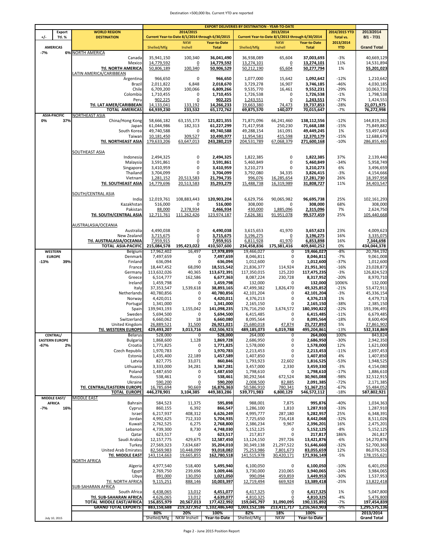#### Destination >500,000 lbs. Current YTD are reported

|                                          |                         |                                                           | <b>EXPORT DELIVERIES BY DESTINATION - YEAR-TO-DATE</b> |                                                              |                              |                              |                                                              |                              |                           |                              |  |
|------------------------------------------|-------------------------|-----------------------------------------------------------|--------------------------------------------------------|--------------------------------------------------------------|------------------------------|------------------------------|--------------------------------------------------------------|------------------------------|---------------------------|------------------------------|--|
| +/-                                      | Export<br><b>Ttl. %</b> | <b>WORLD REGION</b><br><b>DESTINATION</b>                 |                                                        | 2014/2015<br>Current Year-to-Date 8/1/2014 through 6/30/2015 |                              |                              | 2013/2014<br>Current Year-to-Date 8/1/2013 through 6/30/2014 | 2014/2015 YTD<br>Total vs.   | 2013/2014<br>$8/1 - 7/31$ |                              |  |
|                                          |                         |                                                           |                                                        | <b>NKW</b>                                                   | <b>Year-to-Date</b>          |                              | <b>NKW</b>                                                   | <b>Year-to-Date</b>          | 2013/2014                 |                              |  |
| <b>AMERICAS</b>                          |                         |                                                           | Shelled/Mfg                                            | Inshell                                                      | <b>Total</b>                 | Shelled/Mfg                  | Inshell                                                      | <b>Total</b>                 | <b>YTD</b>                | <b>Grand Total</b>           |  |
| $-7%$                                    |                         | <b>6% NORTH AMERICA</b><br>Canada                         | 35,941,150                                             | 100,340                                                      | 36,041,490                   | 36,938,089                   | 65,604                                                       | 37,003,693                   | $-3%$                     | 40,669,129                   |  |
|                                          |                         | Mexico                                                    | 14,779,592                                             | 0                                                            | 14,779,592                   | 13,274,101                   | 0                                                            | 13,274,101                   | 11%                       | 14,531,894                   |  |
|                                          |                         | Ttl. NORTH AMERICA                                        | 50,806,189                                             | 100,340                                                      | 50,906,529                   | 50,212,190                   | 65,604                                                       | 50,277,794                   | 1%                        | 55,201,023                   |  |
|                                          |                         | LATIN AMERICA/CARIBBEAN                                   |                                                        |                                                              |                              |                              |                                                              |                              |                           |                              |  |
|                                          |                         | Argentina                                                 | 966,650                                                | 0                                                            | 966,650                      | 1,077,000                    | 15,642                                                       | 1,092,642                    | $-12%$                    | 1,210,642                    |  |
|                                          |                         | Brazil<br>Chile                                           | 2,011,822<br>6,709,200                                 | 6,848<br>100,066                                             | 2,018,670<br>6,809,266       | 3,729,278<br>9,535,770       | 16,907<br>16,461                                             | 3,746,185<br>9,552,231       | $-46%$<br>$-29%$          | 4,030,185<br>10,063,731      |  |
|                                          |                         | Colombia                                                  | 1,710,455                                              | 0                                                            | 1,710,455                    | 1,726,538                    | 0                                                            | 1,726,538                    | $-1%$                     | 1,798,538                    |  |
|                                          |                         | Peru                                                      | 902,225                                                | 0                                                            | 902,225                      | 1,243,551                    | 0                                                            | 1,243,551                    | $-27%$                    | 1,424,551                    |  |
|                                          |                         | Ttl. LAT AMER/CARIBBEAN                                   | 14,133,041                                             | 133,192                                                      | 14,266,233                   | 19,663,380                   | 74,473                                                       | 19,737,853                   | $-28%$                    | 21,071,975                   |  |
| <b>ASIA-PACIFIC</b>                      |                         | TOTAL AMERICAS<br>NORTHEAST ASIA                          | 64,939,230                                             | 233,532                                                      | 65,172,762                   | 69,875,570                   | 140,077                                                      | 70,015,647                   | $-7%$                     | 76,272,998                   |  |
| 0%                                       | 37%                     | China/Hong Kong                                           | 58,666,182                                             | 63,155,173                                                   | 121,821,355                  | 71,871,096                   | 66,241,460                                                   | 138,112,556                  | $-12%$                    | 144,819,261                  |  |
|                                          |                         | Japan                                                     | 61,044,986                                             | 182,313                                                      | 61,227,299                   | 71,417,958                   | 250,230                                                      | 71,668,188                   | $-15%$                    | 75,849,882                   |  |
|                                          |                         | South Korea                                               | 49,740,588                                             | 0                                                            | 49,740,588                   | 49,288,154                   | 161,091                                                      | 49,449,245                   | 1%                        | 53,497,643                   |  |
|                                          |                         | Taiwan<br>Ttl. NORTHEAST ASIA                             | 10,181,450<br>179,633,206                              | 309,527<br>63,647,013                                        | 10,490,977<br>243,280,219    | 11,954,581<br>204,531,789    | 415,598<br>67,068,379                                        | 12,370,179<br>271,600,168    | $-15%$<br>$-10%$          | 12,688,679<br>286,855,465    |  |
|                                          |                         |                                                           |                                                        |                                                              |                              |                              |                                                              |                              |                           |                              |  |
|                                          |                         | SOUTHEAST ASIA                                            |                                                        |                                                              |                              |                              |                                                              |                              |                           |                              |  |
|                                          |                         | Indonesia                                                 | 2,494,325                                              | 0                                                            | 2,494,325                    | 1,822,385                    | 0                                                            | 1,822,385                    | 37%                       | 2,139,440                    |  |
|                                          |                         | Malaysia<br>Singapore                                     | 3,591,861<br>3,410,959                                 | 0<br>0                                                       | 3,591,861<br>3,410,959       | 5,460,849<br>3,210,273       | 0<br>0                                                       | 5,460,849<br>3,210,273       | $-34%$<br>6%              | 5,958,749<br>3,496,659       |  |
|                                          |                         | Thailand                                                  | 3,704,099                                              | 0                                                            | 3,704,099                    | 3,792,080                    | 34,335                                                       | 3,826,415                    | $-3%$                     | 4,154,666                    |  |
|                                          |                         | Vietnam                                                   | 1,281,152                                              | 20,513,583                                                   | 21,794,735                   | 996,076                      | 16,285,654                                                   | 17,281,730                   | 26%                       | 18,397,958                   |  |
|                                          |                         | Ttl. SOUTHEAST ASIA                                       | 14,779,696                                             | 20,513,583                                                   | 35,293,279                   | 15,488,738                   | 16,319,989                                                   | 31,808,727                   | 11%                       | 34.403.547                   |  |
|                                          |                         |                                                           |                                                        |                                                              |                              |                              |                                                              |                              |                           |                              |  |
|                                          |                         | SOUTH/CENTRAL ASIA<br>India                               | 12,019,761                                             | 108,883,443                                                  | 120,903,204                  | 6,629,756                    | 90,065,982                                                   | 96,695,738                   | 25%                       | 102,161,293                  |  |
|                                          |                         | Kazakhstan                                                | 516,000                                                | $\mathbf 0$                                                  | 516,000                      | 308,000                      | 0                                                            | 308,000                      | 68%                       | 308,000                      |  |
|                                          |                         | Pakistan                                                  | 88,000                                                 | 2,378,934                                                    | 2,466,934                    | 430,000                      | 1,885,096                                                    | 2,315,096                    | 7%                        | 2,624,750                    |  |
|                                          |                         | <b>Ttl. SOUTH/CENTRAL ASIA</b>                            | 12,711,761                                             | 111,262,426                                                  | 123,974,187                  | 7,626,381                    | 91,951,078                                                   | 99,577,459                   | 25%                       | 105,440,668                  |  |
|                                          |                         | AUSTRALASIA/OCEANIA                                       |                                                        |                                                              |                              |                              |                                                              |                              |                           |                              |  |
|                                          |                         | Australia                                                 | 4,490,038                                              | 0                                                            | 4,490,038                    | 3,615,653                    | 41,970                                                       | 3,657,623                    | 23%                       | 4,009,623                    |  |
|                                          |                         | New Zealand                                               | 3,715,675                                              | $\underline{0}$                                              | 3,715,675                    | 3,196,275                    | 0                                                            | 3,196,275                    | 16%                       | 3,335,075                    |  |
|                                          |                         | Ttl. AUSTRALASIA/OCEANIA                                  | 7,959,915                                              | 0                                                            | 7,959,915                    | 6,811,928                    | 41,970                                                       | 6,853,898                    | 16%                       | 7,344,698                    |  |
| <b>WESTERN</b>                           |                         | <b>TOTAL ASIA-PACIFIC</b><br>Belgium                      | 215,084,578<br>17,962,402                              | 195,423,022<br>16,497                                        | 410,507,600<br>17,978,899    | 234,458,836<br>19,466,027    | 175,381,416<br>0                                             | 409,840,252<br>19,466,027    | 0%<br>-8%                 | 434,044,378<br>20,784,192    |  |
| <b>EUROPE</b>                            |                         | Denmark                                                   | 7,497,659                                              | 0                                                            | 7,497,659                    | 8,046,811                    | 0                                                            | 8,046,811                    | $-7%$                     | 9,061,008                    |  |
| $-13%$                                   | 39%                     | Finland                                                   | 636,094                                                | 0                                                            | 636,094                      | 1,012,600                    | 0                                                            | 1,012,600                    | $-37%$                    | 1,012,600                    |  |
|                                          |                         | France                                                    | 18,447,452                                             | 68,090                                                       | 18,515,542                   | 21,836,377                   | 114,924                                                      | 21,951,301                   | $-16%$                    | 23,028,873                   |  |
|                                          |                         | Germany                                                   | 113,632,026                                            | 40,365                                                       | 113,672,391                  | 117,350,015                  | 125,220                                                      | 117,475,235                  | $-3%$                     | 126,824,523                  |  |
|                                          |                         | Greece<br>Ireland                                         | 6,514,777<br>1,459,798                                 | 162,586<br>0                                                 | 6,677,363<br>1,459,798       | 8,087,224<br>132,000         | 230,728<br>0                                                 | 8,317,952<br>132,000         | $-20%$<br>1006%           | 8,970,710<br>132,000         |  |
|                                          |                         | Italy                                                     | 37,353,547                                             | 1,539,618                                                    | 38,893,165                   | 47,499,382                   | 1,826,470                                                    | 49,325,852                   | $-21%$                    | 53,472,911                   |  |
|                                          |                         | Netherlands                                               | 40,780,856                                             | 0                                                            | 40,780,856                   | 42,101,204                   | 0                                                            | 42,101,204                   | $-3%$                     | 45,336,154                   |  |
|                                          |                         | Norway                                                    | 4,420,011                                              | 0                                                            | 4,420,011                    | 4,376,213                    | 0                                                            | 4,376,213                    | 1%                        | 4,479,713                    |  |
|                                          |                         | Portugal<br>Spain                                         | 1,341,000<br>139,943,193                               | 0<br>1,155,042                                               | 1,341,000<br>141,098,235     | 2,165,150<br>176,716,250     | 0<br>3,674,572                                               | 2,165,150<br>180,390,822     | $-38%$<br>$-22%$          | 2,385,150<br>193,396,491     |  |
|                                          |                         | Sweden                                                    | 5,694,500                                              | $\mathbf 0$                                                  | 5,694,500                    | 6,415,485                    | 0                                                            | 6,415,485                    | $-11%$                    | 6,679,485                    |  |
|                                          |                         | Switzerland                                               | 6,660,062                                              | 18                                                           | 6,660,080                    | 8,095,564                    | 0                                                            | 8,095,564                    | $-18%$                    | 8,600,404                    |  |
|                                          |                         | United Kingdom                                            | 26,889,521                                             | 31,500                                                       | 26,921,021                   | 25,680,018                   | 47,874                                                       | 25,727,892                   | 5%                        | 27,861,902                   |  |
|                                          |                         | Ttl. WESTERN EUROPE                                       | 429,493,207                                            | 3,013,716                                                    | 432,506,923                  | 489,185,073                  | 6,019,788                                                    | 495,204,861                  | $-13%$                    | 532,318,869                  |  |
| <b>CENTRAL/</b><br><b>EASTERN EUROPE</b> |                         | Belarus<br>Bulgaria                                       | 528,000<br>1,868,600                                   | 0<br>1,128                                                   | 528,000<br>1,869,728         | 264,000<br>2,686,950         | 0<br>0                                                       | 264,000<br>2,686,950         | 100%<br>$-30%$            | 843,824<br>2,942,350         |  |
| $-67%$                                   | 2%                      | Croatia                                                   | 1,771,825                                              | 0                                                            | 1,771,825                    | 1,578,000                    | 0                                                            | 1,578,000                    | 12%                       | 1,621,000                    |  |
|                                          |                         | Czech Republic                                            | 1,970,783                                              | 0                                                            | 1,970,783                    | 2,213,453                    | 0                                                            | 2,213,453                    | $-11%$                    | 2,697,453                    |  |
|                                          |                         | Estonia                                                   | 1,435,400                                              | 22,189                                                       | 1,457,589                    | 1,407,850                    | 0                                                            | 1,407,850                    | 4%                        | 1,407,850                    |  |
|                                          |                         | Latvia                                                    | 827,775                                                | 33,071                                                       | 860,846                      | 1,793,923                    | 22,602                                                       | 1,816,525                    | $-53%$                    | 1,948,525<br>4,154,080       |  |
|                                          |                         | Lithuania<br>Poland                                       | 3,333,000<br>1,487,650                                 | 34,281<br>$\mathbf 0$                                        | 3,367,281<br>1,487,650       | 3,457,000<br>1,798,610       | 2,330<br>0                                                   | 3,459,330<br>1,798,610       | $-3%$<br>$-17%$           | 1,886,610                    |  |
|                                          |                         | Russia                                                    | 538,461                                                | 0                                                            | 538,461                      | 30,292,564                   | 672,524                                                      | 30,965,088                   | -98%                      | 32,512,915                   |  |
|                                          |                         | Ukraine                                                   | 590,200                                                | $\overline{0}$                                               | 590,200                      | 2,008,500                    | 82,885                                                       | 2,091,385                    | $-72%$                    | 2,171,385                    |  |
|                                          |                         | <b>Ttl. CENTRAL/EASTERN EUROPE</b><br><b>TOTAL EUROPE</b> | 16,785,694<br>446,278,901                              | 90,669<br>3,104,385                                          | 16,876,363<br>449,383,286    | 50,586,910<br>539,771,983    | 780,341<br>6,800,129                                         | 51,367,251<br>546,572,112    | $-67%$<br>$-18%$          | 55,484,052<br>587,802,921    |  |
| <b>MIDDLE EAST/</b>                      |                         | <b>MIDDLE EAST</b>                                        |                                                        |                                                              |                              |                              |                                                              |                              |                           |                              |  |
| <b>AFRICA</b>                            |                         | <b>Bahrain</b>                                            | 584,523                                                | 11,375                                                       | 595,898                      | 988,001                      | 7,875                                                        | 995,876                      | $-40%$                    | 1,034,363                    |  |
| $-7%$                                    | 16%                     | Cyprus                                                    | 860,155                                                | 6,392                                                        | 866,547                      | 1,286,100                    | 1,810                                                        | 1,287,910                    | $-33%$                    | 1,287,910                    |  |
|                                          |                         | Israel                                                    | 6,217,937                                              | 408,312                                                      | 6,626,249                    | 4,995,777                    | 287,180                                                      | 5,282,957                    | 25%                       | 6,348,391                    |  |
|                                          |                         | Jordan<br>Kuwait                                          | 4,992,625<br>2,762,525                                 | 712,310<br>6,275                                             | 5,704,935<br>2,768,800       | 7,725,650<br>2,386,234       | 716,418<br>9,967                                             | 8,442,068<br>2,396,201       | $-32%$<br>16%             | 8,511,026<br>2,475,201       |  |
|                                          |                         | Lebanon                                                   | 4,739,300                                              | 8,730                                                        | 4,748,030                    | 5,152,125                    | 0                                                            | 5,152,125                    | -8%                       | 5,152,125                    |  |
|                                          |                         | Qatar                                                     | 623,517                                                | 0                                                            | 623,517                      | 217,817                      | $\mathbf 0$                                                  | 217,817                      | 186%                      | 261,817                      |  |
|                                          |                         | Saudi Arabia                                              | 12,157,775                                             | 429,675                                                      | 12,587,450                   | 13,124,150                   | 297,726                                                      | 13,421,876                   | -6%                       | 14,270,876                   |  |
|                                          |                         | Turkey<br><b>United Arab Emirates</b>                     | 27,569,323<br>82,569,983                               | 7,634,687<br>10,448,099                                      | 35,204,010<br>93,018,082     | 30,349,138<br>75,253,986     | 21,297,522<br>7,801,673                                      | 51,646,660<br>83,055,659     | $-32%$<br>12%             | 52,700,360<br>86,076,552     |  |
|                                          |                         | Ttl. MIDDLE EAST                                          | 143,114,663                                            | 19,665,855                                                   | 162,780,518                  | 141,515,978                  | 30,420,171                                                   | 171,936,149                  | $-5%$                     | 178,155,621                  |  |
|                                          |                         | <b>NORTH AFRICA</b>                                       |                                                        |                                                              |                              |                              |                                                              |                              |                           |                              |  |
|                                          |                         | Algeria                                                   | 4,977,540                                              | 518,400                                                      | 5,495,940                    | 6,100,050                    | 0                                                            | 6,100,050                    | $-10%$                    | 6,401,050                    |  |
|                                          |                         | Egypt                                                     | 2,769,750                                              | 239,696                                                      | 3,009,446                    | 3,730,000                    | 210,065                                                      | 3,940,065                    | $-24%$                    | 3,984,065                    |  |
|                                          |                         | Libya<br>Ttl. NORTH AFRICA                                | 891,000<br>9,115,251                                   | 130,050<br>888,146                                           | 1,021,050<br>10,003,397      | 990,094<br>12,719,494        | 459,859<br>669,924                                           | 1,449,953<br>13,389,418      | $-30%$<br>$-25%$          | 1,537,953<br>13,822,418      |  |
|                                          |                         | SUB-SAHARAN AFRICA                                        |                                                        |                                                              |                              |                              |                                                              |                              |                           |                              |  |
|                                          |                         | South Africa                                              | 4,438,065                                              | 13,012                                                       | 4,451,077                    | 4,417,325                    | $\overline{0}$                                               | 4,417,325                    | 1%                        | 5,047,800                    |  |
|                                          |                         | Ttl. SUB-SAHARAN AFRICA                                   | 4,626,065                                              | 13,012                                                       | 4,639,077                    | 4,810,325                    | 0                                                            | 4,810,325                    | $-4%$                     | 5,476,800                    |  |
|                                          |                         | TOTAL MIDDLE EAST/AFRICA<br><b>GRAND TOTAL EXPORTS:</b>   | 156,855,979<br>883,158,688                             | 20,567,013<br>219,327,952                                    | 177,422,992<br>1,102,486,640 | 159,045,797<br>1,003,152,186 | 31,090,095<br>213,411,717                                    | 190,135,892<br>1,216,563,903 | $-7%$<br>-9%              | 197,454,839<br>1,295,575,136 |  |
|                                          |                         |                                                           | 80%                                                    | 20%                                                          | 100%                         | 82%                          | 18%                                                          | 100%                         |                           | 2013/2014                    |  |
| July 10, 2015                            |                         |                                                           | Shelled/Mfg                                            | <b>NKW Inshell</b>                                           | Year-to-Date                 | Shelled/Mfg                  | <b>NKW</b>                                                   | Year-to-Date                 |                           | <b>Grand Total</b>           |  |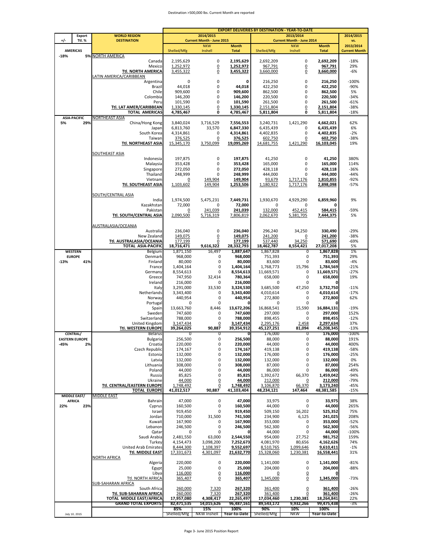#### Destination >500,000 lbs. Current Month are reported

|        |                                 |                                                       |                       |                                  |                              |                       | <b>EXPORT DELIVERIES BY DESTINATION - YEAR-TO-DATE</b> |                              |                                   |  |
|--------|---------------------------------|-------------------------------------------------------|-----------------------|----------------------------------|------------------------------|-----------------------|--------------------------------------------------------|------------------------------|-----------------------------------|--|
|        | <b>Export</b>                   | <b>WORLD REGION</b>                                   |                       | 2014/2015                        |                              |                       | 2013/2014                                              |                              | 2014/2015                         |  |
| ٠/     | <b>Ttl. %</b>                   | <b>DESTINATION</b>                                    |                       | <b>Current Month - June 2015</b> |                              |                       | <b>Current Month - June 2014</b>                       |                              | vs.                               |  |
|        | <b>AMERICAS</b>                 |                                                       | Shelled/Mfg           | <b>NKW</b><br>Inshell            | <b>Month</b><br><b>Total</b> | Shelled/Mfg           | <b>NKW</b><br>Inshell                                  | <b>Month</b><br><b>Total</b> | 2013/2014<br><b>Current Month</b> |  |
| $-18%$ |                                 | <b>5% NORTH AMERICA</b>                               |                       |                                  |                              |                       |                                                        |                              |                                   |  |
|        |                                 | Canada                                                | 2,195,629             | 0                                | 2,195,629                    | 2,692,209             | 0                                                      | 2,692,209                    | $-18%$                            |  |
|        |                                 | Mexico                                                | 1,252,972             | $\underline{0}$                  | 1,252,972                    | 967.791               | $\overline{0}$                                         | 967,791                      | 29%                               |  |
|        |                                 | <b>Ttl. NORTH AMERICA</b>                             | 3,455,322             | $\underline{0}$                  | 3,455,322                    | 3,660,000             | 0                                                      | 3,660,000                    | -6%                               |  |
|        |                                 | LATIN AMERICA/CARIBBEAN                               |                       |                                  |                              |                       |                                                        |                              |                                   |  |
|        |                                 | Argentina                                             | 0                     | 0                                | 0                            | 216,250               | 0                                                      | 216,250                      | $-100%$                           |  |
|        |                                 | Brazil                                                | 44,018                | 0                                | 44,018                       | 422,250               | 0                                                      | 422,250                      | $-90%$                            |  |
|        |                                 | Chile                                                 | 909,600               | 0                                | 909,600                      | 862,500               | 0                                                      | 862,500                      | 5%                                |  |
|        |                                 | Colombia                                              | 146,200               | $\pmb{0}$                        | 146,200                      | 220,500               | 0                                                      | 220,500                      | $-34%$                            |  |
|        |                                 | Peru                                                  | 101,590               | $\pmb{0}$                        | 101,590                      | 261,500               | 0                                                      | 261,500                      | $-61%$                            |  |
|        |                                 | Ttl. LAT AMER/CARIBBEAN                               | 1,330,145             | $\underline{0}$                  | 1,330,145                    | 2,151,804             | $\overline{0}$                                         | 2,151,804                    | $-38%$                            |  |
|        |                                 | <b>TOTAL AMERICAS</b>                                 | 4,785,467             | 0                                | 4,785,467                    | 5,811,804             | 0                                                      | 5,811,804                    | $-18%$                            |  |
|        | <b>ASIA-PACIFIC</b>             | NORTHEAST ASIA                                        |                       |                                  |                              |                       |                                                        |                              |                                   |  |
| 5%     | 29%                             | China/Hong Kong                                       | 3,840,024             | 3,716,529                        | 7,556,553                    | 3,240,731             | 1,421,290                                              | 4.662.021                    | 62%                               |  |
|        |                                 | Japan                                                 | 6,813,760             | 33,570                           | 6,847,330                    | 6,435,439             | 0                                                      | 6,435,439                    | 6%                                |  |
|        |                                 | South Korea                                           | 4,314,861             | 0                                | 4,314,861                    | 4,402,835             | 0                                                      | 4,402,835                    | $-2%$                             |  |
|        |                                 | Taiwan<br>Ttl. NORTHEAST ASIA                         | 376,525<br>15,345,170 | $\underline{0}$<br>3,750,099     | 376,525<br>19,095,269        | 602,750<br>14,681,755 | $\Omega$<br>1,421,290                                  | 602,750<br>16,103,045        | -38%<br>19%                       |  |
|        |                                 |                                                       |                       |                                  |                              |                       |                                                        |                              |                                   |  |
|        |                                 | SOUTHEAST ASIA                                        |                       |                                  |                              |                       |                                                        |                              |                                   |  |
|        |                                 | Indonesia                                             | 197,875               | 0                                | 197,875                      | 41,250                | 0                                                      | 41,250                       | 380%                              |  |
|        |                                 | Malaysia                                              | 353,428               | 0                                | 353,428                      | 165,000               | 0                                                      | 165,000                      | 114%                              |  |
|        |                                 | Singapore                                             | 272,050               | 0                                | 272,050                      | 428,118               | 0                                                      | 428,118                      | $-36%$                            |  |
|        |                                 | Thailand                                              | 248,999               | 0                                | 248,999                      | 444,000               | 0                                                      | 444,000                      | $-44%$                            |  |
|        |                                 | Vietnam                                               | $\overline{0}$        | 149,904                          | 149,904                      | 93,679                | 1,717,176                                              | 1,810,855                    | $-92%$                            |  |
|        |                                 | Ttl. SOUTHEAST ASIA                                   | 1,103,602             | 149,904                          | 1,253,506                    | 1,180,922             | 1,717,176                                              | 2,898,098                    | $-57%$                            |  |
|        |                                 |                                                       |                       |                                  |                              |                       |                                                        |                              |                                   |  |
|        |                                 | SOUTH/CENTRAL ASIA                                    |                       |                                  |                              |                       |                                                        |                              |                                   |  |
|        |                                 | India                                                 | 1,974,500             | 5,475,231                        | 7,449,731                    | 1,930,670             | 4,929,290                                              | 6,859,960                    | 9%                                |  |
|        |                                 | Kazakhstan                                            | 72,000                | 0                                | 72,000                       | 0                     | 0                                                      | 0                            |                                   |  |
|        |                                 | Pakistan                                              | 0                     | 241,039                          | 241,039                      | 132.000               | 452,415                                                | 584,415                      | -59%                              |  |
|        |                                 | Ttl. SOUTH/CENTRAL ASIA                               | 2,090,500             | 5,716,319                        | 7,806,819                    | 2,062,670             | 5,381,705                                              | 7,444,375                    | 5%                                |  |
|        |                                 |                                                       |                       |                                  |                              |                       |                                                        |                              |                                   |  |
|        |                                 | AUSTRALASIA/OCEANIA                                   |                       |                                  |                              |                       |                                                        |                              |                                   |  |
|        |                                 | Australia                                             | 236,040               | 0                                | 236,040                      | 296,240               | 34,250                                                 | 330,490                      | $-29%$                            |  |
|        |                                 | New Zealand                                           | 149,075               | $\underline{0}$                  | 149,075                      | 241,200               | 0                                                      | 241,200                      | $-38%$                            |  |
|        |                                 | Ttl. AUSTRALASIA/OCEANIA<br><b>TOTAL ASIA-PACIFIC</b> | 177,199               | 0<br>9,616,322                   | 177,199                      | 537,440               | 34,250<br>8,554,421                                    | 571,690                      | $-69%$<br>5%                      |  |
|        |                                 |                                                       | 18,716,471            | 16,497                           | 28,332,793                   | 18,462,787            |                                                        | 27,017,208                   | 1%                                |  |
|        | <b>WESTERN</b><br><b>EUROPE</b> | Belgium<br>Denmark                                    | 1,871,150<br>968,000  | 0                                | 1,887,647<br>968,000         | 1,867,828<br>751,393  | 0<br>0                                                 | 1,867,828<br>751,393         | 29%                               |  |
| $-13%$ | 41%                             | Finland                                               | 80,000                | 0                                | 80,000                       | 83,600                | 0                                                      | 83,600                       | $-4%$                             |  |
|        |                                 | France                                                | 1,404,164             | 0                                | 1,404,164                    | 1,768,773             | 15,796                                                 | 1,784,569                    | $-21%$                            |  |
|        |                                 | Germany                                               | 8,554,613             | 0                                | 8,554,613                    | 11,669,571            | 0                                                      | 11,669,571                   | $-27%$                            |  |
|        |                                 | Greece                                                | 747,950               | 32,414                           | 780,364                      | 658,000               | 0                                                      | 658,000                      | 19%                               |  |
|        |                                 | Ireland                                               | 216,000               | 0                                | 216,000                      | $\mathbf 0$           | 0                                                      |                              |                                   |  |
|        |                                 | Italy                                                 | 3,291,000             | 33,530                           | 3,324,530                    | 3,685,500             | 47,250                                                 | 3,732,750                    | $-11%$                            |  |
|        |                                 | Netherlands                                           | 3,343,400             | 0                                | 3,343,400                    | 4,010,614             | 0                                                      | 4,010,614                    | $-17%$                            |  |
|        |                                 | Norway                                                | 440,954               | 0                                | 440,954                      | 272,800               | 0                                                      | 272,800                      | 62%                               |  |
|        |                                 | Portugal                                              | 0                     | 0                                |                              | 0                     | 0                                                      |                              |                                   |  |
|        |                                 | Spain                                                 | 13,663,760            | 8,446                            | 13,672,206                   | 16,868,541            | 15,590                                                 | 16,884,131                   | $-19%$                            |  |
|        |                                 | Sweden                                                | 747,600               | 0                                | 747,600                      | 297,000               | 0                                                      | 297,000                      | 152%                              |  |
|        |                                 | Switzerland                                           | 788.000               | 0                                | 788,000                      | 898,455               | 0                                                      | 898,455                      | $-12%$                            |  |
|        |                                 | United Kingdom                                        | 3,147,434             | $\overline{0}$                   | 3,147,434                    | 2,295,176             | 2,458                                                  | 2,297,634                    | 37%                               |  |
|        |                                 | <b>Ttl. WESTERN EUROPE</b>                            | 39,264,025            | 90,887                           | 39,354,912                   | 45,127,251            | 81,094                                                 | 45.208.345                   | $-13%$                            |  |
|        | <b>CENTRAL/</b>                 | <b>Belarus</b>                                        | 0                     | 0                                | 0                            | 176,000               | 0                                                      | 176,000                      | $-100%$                           |  |
|        | <b>EASTERN EUROPE</b>           | Bulgaria                                              | 256,500               | 0                                | 256,500                      | 88,000                | 0                                                      | 88,000                       | 191%                              |  |
| -45%   | 2%                              | Croatia                                               | 220,000               | 0                                | 220,000                      | 44,000                | 0                                                      | 44,000                       | 400%                              |  |
|        |                                 | Czech Republic                                        | 174,167               | 0                                | 174,167                      | 419,138               | 0                                                      | 419,138                      | -58%                              |  |
|        |                                 | Estonia                                               | 132,000               | $\mathbf 0$                      | 132,000                      | 176,000               | 0                                                      | 176,000                      | $-25%$                            |  |
|        |                                 | Latvia                                                | 132,000               | 0<br>0                           | 132,000<br>308,000           | 132,000<br>87,000     | 0<br>0                                                 | 132,000<br>87,000            | 0%<br>254%                        |  |
|        |                                 | Lithuania<br>Poland                                   | 308,000<br>44,000     | 0                                | 44,000                       | 86,000                | 0                                                      | 86,000                       | $-49%$                            |  |
|        |                                 | Russia                                                | 85,825                | 0                                | 85,825                       | 1,392,672             | 66,370                                                 | 1,459,042                    | $-94%$                            |  |
|        |                                 | Ukraine                                               | 44,000                | $\overline{0}$                   | 44,000                       | 212,000               | 0                                                      | 212,000                      | $-79%$                            |  |
|        |                                 | <b>Ttl. CENTRAL/EASTERN EUROPE</b>                    | 1,748,492             | $\overline{0}$                   | 1,748,492                    | 3,106,870             | 66,370                                                 | 3,173,240                    | $-45%$                            |  |
|        |                                 | <b>TOTAL EUROPE</b>                                   | 41,012,517            | 90,887                           | 41,103,404                   | 48,234,121            | 147,464                                                | 48,381,585                   | $-15%$                            |  |
|        | <b>MIDDLE EAST/</b>             | <b>MIDDLE EAST</b>                                    |                       |                                  |                              |                       |                                                        |                              |                                   |  |
|        | <b>AFRICA</b>                   | Bahrain                                               | 47,000                | 0                                | 47,000                       | 33,975                | $\pmb{0}$                                              | 33,975                       | 38%                               |  |
| 22%    | 23%                             | Cyprus                                                | 160,500               | 0                                | 160,500                      | 44,000                | 0                                                      | 44,000                       | 265%                              |  |
|        |                                 | Israel                                                | 919,450               | 0                                | 919,450                      | 509,150               | 16,202                                                 | 525,352                      | 75%                               |  |
|        |                                 | Jordan                                                | 710,000               | 31,500                           | 741,500                      | 234,900               | 6,125                                                  | 241,025                      | 208%                              |  |
|        |                                 | Kuwait                                                | 167,900               | 0                                | 167,900                      | 353,000               | 0                                                      | 353,000                      | $-52%$                            |  |
|        |                                 | Lebanon                                               | 246,500               | 0                                | 246,500                      | 562,300               | 0                                                      | 562,300                      | $-56%$                            |  |
|        |                                 | Qatar                                                 | 0                     | 0                                | 0                            | 44,000                | 0                                                      | 44,000                       | $-100%$                           |  |
|        |                                 | Saudi Arabia                                          | 2,481,550             | 63,000                           | 2,544,550                    | 954,000               | 27,752                                                 | 981,752                      | 159%                              |  |
|        |                                 | Turkey                                                | 4,154,473             | 3,098,200                        | 7,252,673                    | 4,081,970             | 80,656                                                 | 4,162,626                    | 74%                               |  |
|        |                                 | United Arab Emirates                                  | 8,444,300             | 1,108,397                        | 9,552,697                    | 8,510,765             | 1,099,646                                              | 9,610,411                    | $-1%$                             |  |
|        |                                 | <b>Ttl. MIDDLE EAST</b>                               | 17,331,673            | 4,301,097                        | 21,632,770                   | 15,328,060            | 1,230,381                                              | 16,558,441                   | 31%                               |  |
|        |                                 | <b>NORTH AFRICA</b>                                   |                       |                                  |                              |                       |                                                        |                              |                                   |  |
|        |                                 | Algeria                                               | 220,000               | $\mathbf 0$                      | 220,000                      | 1,141,000             | 0                                                      | 1,141,000                    | $-81%$                            |  |
|        |                                 | Egypt                                                 | 25,000                | 0                                | 25,000                       | 204,000               | 0                                                      | 204,000                      | -88%                              |  |
|        |                                 | Libya                                                 | 116,000               | $\overline{0}$                   | 116,000                      | 0                     | 0                                                      |                              |                                   |  |
|        |                                 | Ttl. NORTH AFRICA                                     | 365,407               | $\overline{0}$                   | 365,407                      | 1,345,000             | $\underline{0}$                                        | 1,345,000                    | -73%                              |  |
|        |                                 | <b>SUB-SAHARAN AFRICA</b>                             |                       |                                  |                              |                       |                                                        |                              | $-26%$                            |  |
|        |                                 | South Africa<br>Ttl. SUB-SAHARAN AFRICA               | 260,000<br>260,000    | 7,320<br>7,320                   | 267,320<br>267,320           | 361,400<br>361,400    | $\overline{0}$<br>0                                    | 361,400<br>361,400           | $-26%$                            |  |
|        |                                 | TOTAL MIDDLE EAST/AFRICA                              | 17,957,080            | 4,308,417                        | 22,265,497                   | 17,034,460            | 1,230,381                                              | 18,264,841                   | 22%                               |  |
|        |                                 | <b>GRAND TOTAL EXPORTS:</b>                           | 82,471,535            | 14,015,626                       | 96,487,161                   | 89,543,172            | 9,932,266                                              | 99,475,438                   | -3%                               |  |
|        |                                 |                                                       | 85%                   | 15%                              | 100%                         | 90%                   | 10%                                                    | 100%                         |                                   |  |
|        | July 10, 2015                   |                                                       | Shelled/Mfg           | <b>NKW Inshell</b>               | Year-to-Date                 | Shelled/Mfg           | <b>NKW</b>                                             | Year-to-Date                 |                                   |  |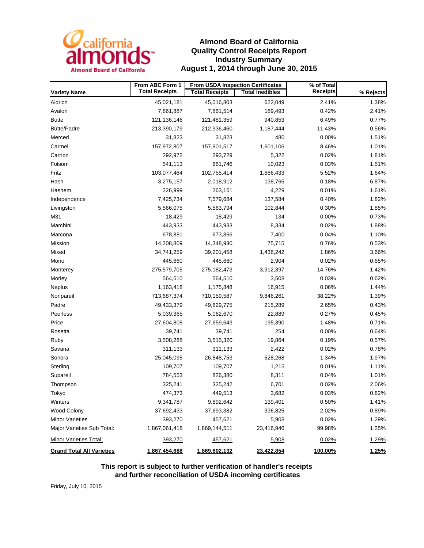

### **Almond Board of California Quality Control Receipts Report Industry Summary August 1, 2014 through June 30, 2015**

|                                  | From ABC Form 1       | From USDA Inspection Certificates |                        | % of Total      |           |  |
|----------------------------------|-----------------------|-----------------------------------|------------------------|-----------------|-----------|--|
| <b>Variety Name</b>              | <b>Total Receipts</b> | <b>Total Receipts</b>             | <b>Total Inedibles</b> | <b>Receipts</b> | % Rejects |  |
| Aldrich                          | 45,021,181            | 45,016,803                        | 622,049                | 2.41%           | 1.38%     |  |
| Avalon                           | 7,861,887             | 7,861,514                         | 189,493                | 0.42%           | 2.41%     |  |
| <b>Butte</b>                     | 121,136,146           | 121,481,359                       | 940,853                | 6.49%           | 0.77%     |  |
| <b>Butte/Padre</b>               | 213,390,179           | 212,936,460                       | 1,187,444              | 11.43%          | 0.56%     |  |
| Merced                           | 31,823                | 31,823                            | 480                    | 0.00%           | 1.51%     |  |
| Carmel                           | 157,972,807           | 157,901,517                       | 1,601,106              | 8.46%           | 1.01%     |  |
| Carrion                          | 292,972               | 293,729                           | 5,322                  | 0.02%           | 1.81%     |  |
| Folsom                           | 541,113               | 661,746                           | 10,023                 | 0.03%           | 1.51%     |  |
| Fritz                            | 103,077,464           | 102,755,414                       | 1,686,433              | 5.52%           | 1.64%     |  |
| Hash                             | 3,275,157             | 2,018,912                         | 138,765                | 0.18%           | 6.87%     |  |
| Hashem                           | 226,999               | 263,161                           | 4,229                  | 0.01%           | 1.61%     |  |
| Independence                     | 7,425,734             | 7,579,684                         | 137,584                | 0.40%           | 1.82%     |  |
| Livingston                       | 5,566,075             | 5,563,794                         | 102,844                | 0.30%           | 1.85%     |  |
| M31                              | 18,429                | 18,429                            | 134                    | 0.00%           | 0.73%     |  |
| Marchini                         | 443,933               | 443,933                           | 8,334                  | 0.02%           | 1.88%     |  |
| Marcona                          | 678,881               | 673,866                           | 7,400                  | 0.04%           | 1.10%     |  |
| Mission                          | 14,208,809            | 14,348,930                        | 75,715                 | 0.76%           | 0.53%     |  |
| Mixed                            | 34,741,259            | 39,201,458                        | 1,436,242              | 1.86%           | 3.66%     |  |
| Mono                             | 445,660               | 445,660                           | 2,904                  | 0.02%           | 0.65%     |  |
| Monterey                         | 275,579,705           | 275,182,473                       | 3,912,397              | 14.76%          | 1.42%     |  |
| Morley                           | 564,510               | 564,510                           | 3,508                  | 0.03%           | 0.62%     |  |
| Neplus                           | 1,163,418             | 1,175,848                         | 16,915                 | 0.06%           | 1.44%     |  |
| Nonpareil                        | 713,687,374           | 710,159,587                       | 9,846,261              | 38.22%          | 1.39%     |  |
| Padre                            | 49,433,379            | 49,829,775                        | 215,289                | 2.65%           | 0.43%     |  |
| Peerless                         | 5,039,365             | 5,062,670                         | 22,889                 | 0.27%           | 0.45%     |  |
| Price                            | 27,604,808            | 27,659,643                        | 195,390                | 1.48%           | 0.71%     |  |
| Rosetta                          | 39,741                | 39,741                            | 254                    | 0.00%           | 0.64%     |  |
| Ruby                             | 3,508,288             | 3,515,320                         | 19,864                 | 0.19%           | 0.57%     |  |
| Savana                           | 311,133               | 311,133                           | 2,422                  | 0.02%           | 0.78%     |  |
| Sonora                           | 25,045,095            | 26,848,753                        | 528,268                | 1.34%           | 1.97%     |  |
| Sterling                         | 109,707               | 109,707                           | 1,215                  | 0.01%           | 1.11%     |  |
| Supareil                         | 784,553               | 826,380                           | 8,311                  | 0.04%           | 1.01%     |  |
| Thompson                         | 325,241               | 325,242                           | 6,701                  | 0.02%           | 2.06%     |  |
| Tokyo                            | 474,373               | 449,513                           | 3,682                  | 0.03%           | 0.82%     |  |
| Winters                          | 9,341,787             | 9,892,642                         | 139,401                | 0.50%           | 1.41%     |  |
| Wood Colony                      | 37,692,433            | 37,693,382                        | 336,825                | 2.02%           | 0.89%     |  |
| <b>Minor Varieties</b>           | 393,270               | 457,621                           | 5,908                  | 0.02%           | 1.29%     |  |
| Major Varieties Sub Total:       | 1,867,061,418         | 1,869,144,511                     | 23,416,946             | 99.98%          | 1.25%     |  |
| Minor Varieties Total:           | 393,270               | 457,621                           | 5,908                  | 0.02%           | 1.29%     |  |
| <b>Grand Total All Varieties</b> | 1,867,454,688         | 1,869,602,132                     | 23,422,854             | 100.00%         | 1.25%     |  |

**This report is subject to further verification of handler's receipts and further reconciliation of USDA incoming certificates**

Friday, July 10, 2015